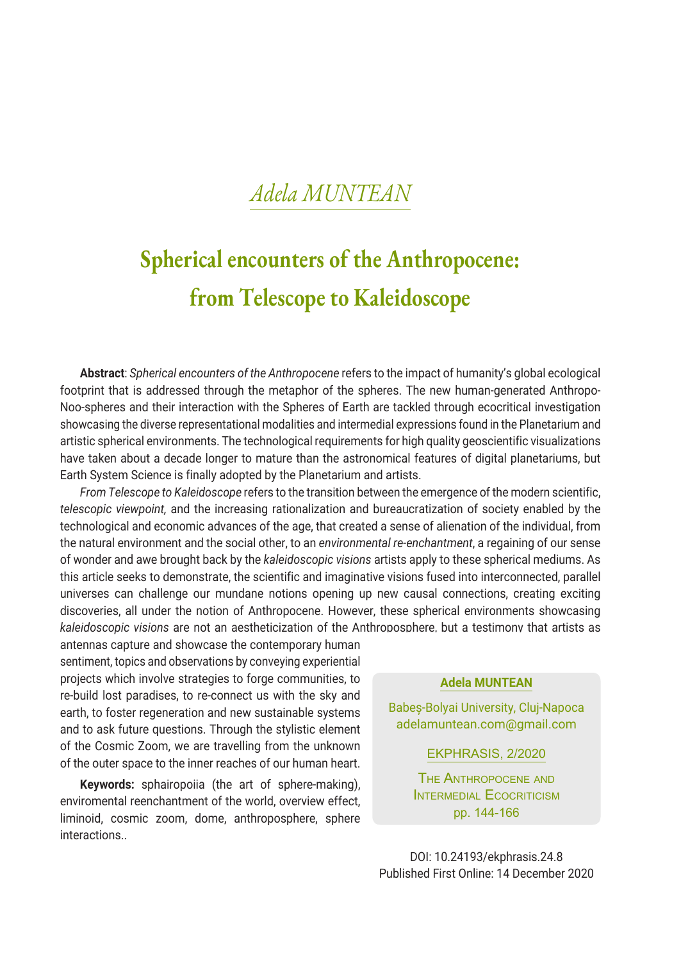# **Spherical encounters of the Anthropocene: from Telescope to Kaleidoscope**

**Abstract**: *Spherical encounters of the Anthropocene* refers to the impact of humanity's global ecological footprint that is addressed through the metaphor of the spheres. The new human-generated Anthropo-Noo-spheres and their interaction with the Spheres of Earth are tackled through ecocritical investigation showcasing the diverse representational modalities and intermedial expressions found in the Planetarium and artistic spherical environments. The technological requirements for high quality geoscientific visualizations have taken about a decade longer to mature than the astronomical features of digital planetariums, but Earth System Science is finally adopted by the Planetarium and artists.

*From Telescope to Kaleidoscope* refers to the transition between the emergence of the modern scientific, *telescopic viewpoint,* and the increasing rationalization and bureaucratization of society enabled by the technological and economic advances of the age, that created a sense of alienation of the individual, from the natural environment and the social other, to an *environmental re-enchantment*, a regaining of our sense of wonder and awe brought back by the *kaleidoscopic visions* artists apply to these spherical mediums. As this article seeks to demonstrate, the scientific and imaginative visions fused into interconnected, parallel universes can challenge our mundane notions opening up new causal connections, creating exciting discoveries, all under the notion of Anthropocene. However, these spherical environments showcasing *kaleidoscopic visions* are not an aestheticization of the Anthroposphere, but a testimony that artists as

antennas capture and showcase the contemporary human sentiment, topics and observations by conveying experiential projects which involve strategies to forge communities, to re-build lost paradises, to re-connect us with the sky and earth, to foster regeneration and new sustainable systems and to ask future questions. Through the stylistic element of the Cosmic Zoom, we are travelling from the unknown of the outer space to the inner reaches of our human heart.

**Keywords:** sphairopoiia (the art of sphere-making), enviromental reenchantment of the world, overview effect, liminoid, cosmic zoom, dome, anthroposphere, sphere interactions..

**Adela MUNTEAN**

Babeș-Bolyai University, Cluj-Napoca adelamuntean.com@gmail.com

EKPHRASIS, 2/2020

The Anthropocene and INTERMEDIAL ECOCRITICISM pp. 144-166

DOI: 10.24193/ekphrasis.24.8 Published First Online: 14 December 2020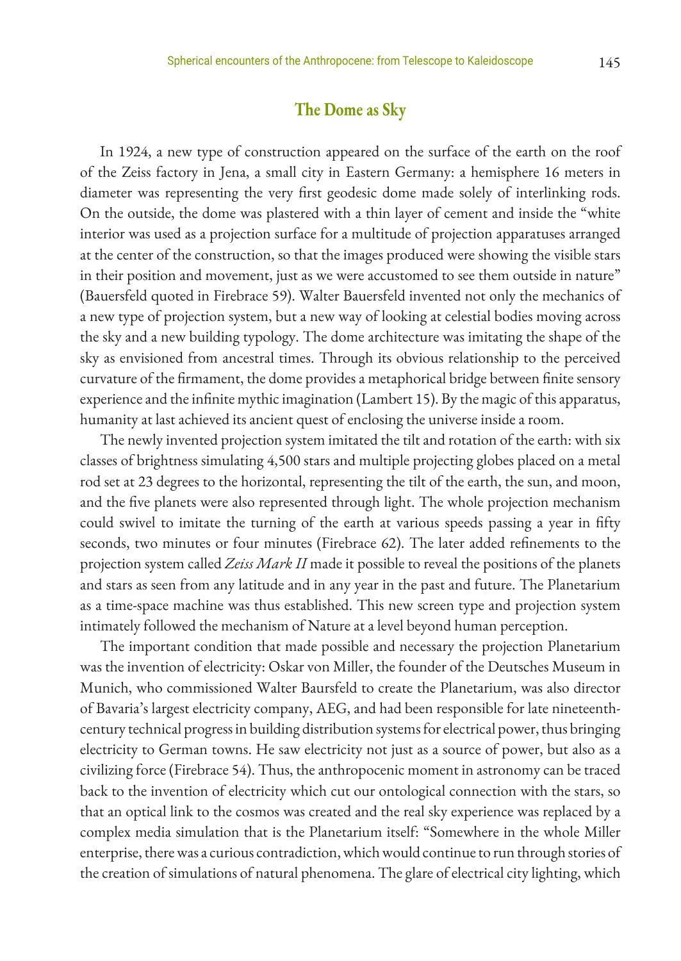## **The Dome as Sky**

In 1924, a new type of construction appeared on the surface of the earth on the roof of the Zeiss factory in Jena, a small city in Eastern Germany: a hemisphere 16 meters in diameter was representing the very first geodesic dome made solely of interlinking rods. On the outside, the dome was plastered with a thin layer of cement and inside the "white interior was used as a projection surface for a multitude of projection apparatuses arranged at the center of the construction, so that the images produced were showing the visible stars in their position and movement, just as we were accustomed to see them outside in nature" (Bauersfeld quoted in Firebrace 59). Walter Bauersfeld invented not only the mechanics of a new type of projection system, but a new way of looking at celestial bodies moving across the sky and a new building typology. The dome architecture was imitating the shape of the sky as envisioned from ancestral times. Through its obvious relationship to the perceived curvature of the firmament, the dome provides a metaphorical bridge between finite sensory experience and the infinite mythic imagination (Lambert 15). By the magic of this apparatus, humanity at last achieved its ancient quest of enclosing the universe inside a room.

The newly invented projection system imitated the tilt and rotation of the earth: with six classes of brightness simulating 4,500 stars and multiple projecting globes placed on a metal rod set at 23 degrees to the horizontal, representing the tilt of the earth, the sun, and moon, and the five planets were also represented through light. The whole projection mechanism could swivel to imitate the turning of the earth at various speeds passing a year in fifty seconds, two minutes or four minutes (Firebrace 62). The later added refinements to the projection system called *Zeiss Mark II* made it possible to reveal the positions of the planets and stars as seen from any latitude and in any year in the past and future. The Planetarium as a time-space machine was thus established. This new screen type and projection system intimately followed the mechanism of Nature at a level beyond human perception.

The important condition that made possible and necessary the projection Planetarium was the invention of electricity: Oskar von Miller, the founder of the Deutsches Museum in Munich, who commissioned Walter Baursfeld to create the Planetarium, was also director of Bavaria's largest electricity company, AEG, and had been responsible for late nineteenthcentury technical progress in building distribution systems for electrical power, thus bringing electricity to German towns. He saw electricity not just as a source of power, but also as a civilizing force (Firebrace 54). Thus, the anthropocenic moment in astronomy can be traced back to the invention of electricity which cut our ontological connection with the stars, so that an optical link to the cosmos was created and the real sky experience was replaced by a complex media simulation that is the Planetarium itself: "Somewhere in the whole Miller enterprise, there was a curious contradiction, which would continue to run through stories of the creation of simulations of natural phenomena. The glare of electrical city lighting, which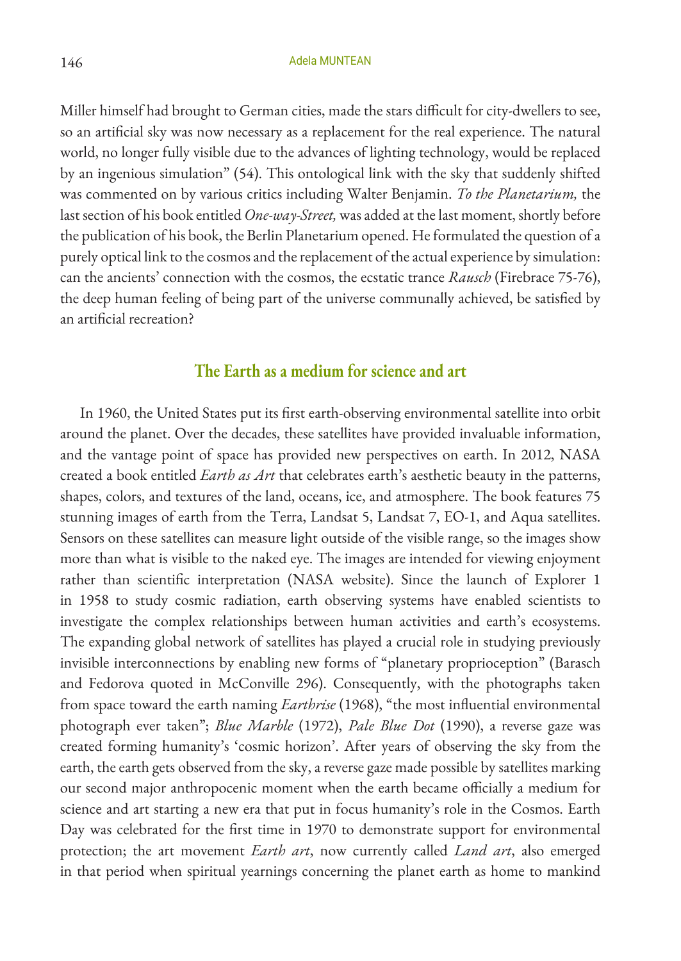Miller himself had brought to German cities, made the stars difficult for city-dwellers to see, so an artificial sky was now necessary as a replacement for the real experience. The natural world, no longer fully visible due to the advances of lighting technology, would be replaced by an ingenious simulation" (54). This ontological link with the sky that suddenly shifted was commented on by various critics including Walter Benjamin. *To the Planetarium,* the last section of his book entitled *One-way-Street,* was added at the last moment, shortly before the publication of his book, the Berlin Planetarium opened. He formulated the question of a purely optical link to the cosmos and the replacement of the actual experience by simulation: can the ancients' connection with the cosmos, the ecstatic trance *Rausch* (Firebrace 75-76), the deep human feeling of being part of the universe communally achieved, be satisfied by an artificial recreation?

## **The Earth as a medium for science and art**

In 1960, the United States put its first earth-observing environmental satellite into orbit around the planet. Over the decades, these satellites have provided invaluable information, and the vantage point of space has provided new perspectives on earth. In 2012, NASA created a book entitled *Earth as Art* that celebrates earth's aesthetic beauty in the patterns, shapes, colors, and textures of the land, oceans, ice, and atmosphere. The book features 75 stunning images of earth from the Terra, Landsat 5, Landsat 7, EO-1, and Aqua satellites. Sensors on these satellites can measure light outside of the visible range, so the images show more than what is visible to the naked eye. The images are intended for viewing enjoyment rather than scientific interpretation (NASA website). Since the launch of Explorer 1 in 1958 to study cosmic radiation, earth observing systems have enabled scientists to investigate the complex relationships between human activities and earth's ecosystems. The expanding global network of satellites has played a crucial role in studying previously invisible interconnections by enabling new forms of "planetary proprioception" (Barasch and Fedorova quoted in McConville 296). Consequently, with the photographs taken from space toward the earth naming *Earthrise* (1968), "the most influential environmental photograph ever taken"; *Blue Marble* (1972), *Pale Blue Dot* (1990), a reverse gaze was created forming humanity's 'cosmic horizon'. After years of observing the sky from the earth, the earth gets observed from the sky, a reverse gaze made possible by satellites marking our second major anthropocenic moment when the earth became officially a medium for science and art starting a new era that put in focus humanity's role in the Cosmos. Earth Day was celebrated for the first time in 1970 to demonstrate support for environmental protection; the art movement *Earth art*, now currently called *Land art*, also emerged in that period when spiritual yearnings concerning the planet earth as home to mankind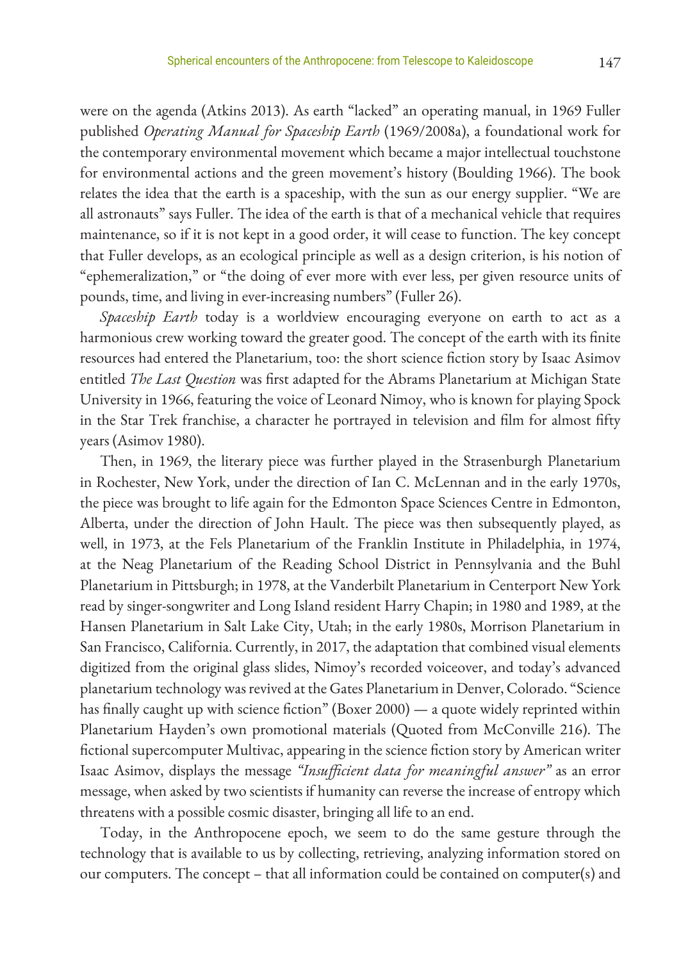were on the agenda (Atkins 2013). As earth "lacked" an operating manual, in 1969 Fuller published *Operating Manual for Spaceship Earth* (1969/2008a), a foundational work for the contemporary environmental movement which became a major intellectual touchstone for environmental actions and the green movement's history (Boulding 1966). The book relates the idea that the earth is a spaceship, with the sun as our energy supplier. "We are all astronauts" says Fuller. The idea of the earth is that of a mechanical vehicle that requires maintenance, so if it is not kept in a good order, it will cease to function. The key concept that Fuller develops, as an ecological principle as well as a design criterion, is his notion of "ephemeralization," or "the doing of ever more with ever less, per given resource units of pounds, time, and living in ever-increasing numbers" (Fuller 26).

*Spaceship Earth* today is a worldview encouraging everyone on earth to act as a harmonious crew working toward the greater good. The concept of the earth with its finite resources had entered the Planetarium, too: the short science fiction story by Isaac Asimov entitled *The Last Question* was first adapted for the Abrams Planetarium at Michigan State University in 1966, featuring the voice of Leonard Nimoy, who is known for playing Spock in the Star Trek franchise, a character he portrayed in television and film for almost fifty years (Asimov 1980).

Then, in 1969, the literary piece was further played in the Strasenburgh Planetarium in Rochester, New York, under the direction of Ian C. McLennan and in the early 1970s, the piece was brought to life again for the Edmonton Space Sciences Centre in Edmonton, Alberta, under the direction of John Hault. The piece was then subsequently played, as well, in 1973, at the Fels Planetarium of the Franklin Institute in Philadelphia, in 1974, at the Neag Planetarium of the Reading School District in Pennsylvania and the Buhl Planetarium in Pittsburgh; in 1978, at the Vanderbilt Planetarium in Centerport New York read by singer-songwriter and Long Island resident Harry Chapin; in 1980 and 1989, at the Hansen Planetarium in Salt Lake City, Utah; in the early 1980s, Morrison Planetarium in San Francisco, California. Currently, in 2017, the adaptation that combined visual elements digitized from the original glass slides, Nimoy's recorded voiceover, and today's advanced planetarium technology was revived at the Gates Planetarium in Denver, Colorado. "Science has finally caught up with science fiction" (Boxer 2000) — a quote widely reprinted within Planetarium Hayden's own promotional materials (Quoted from McConville 216). The fictional supercomputer Multivac, appearing in the science fiction story by American writer Isaac Asimov, displays the message *"Insufficient data for meaningful answer"* as an error message, when asked by two scientists if humanity can reverse the increase of entropy which threatens with a possible cosmic disaster, bringing all life to an end.

Today, in the Anthropocene epoch, we seem to do the same gesture through the technology that is available to us by collecting, retrieving, analyzing information stored on our computers. The concept – that all information could be contained on computer(s) and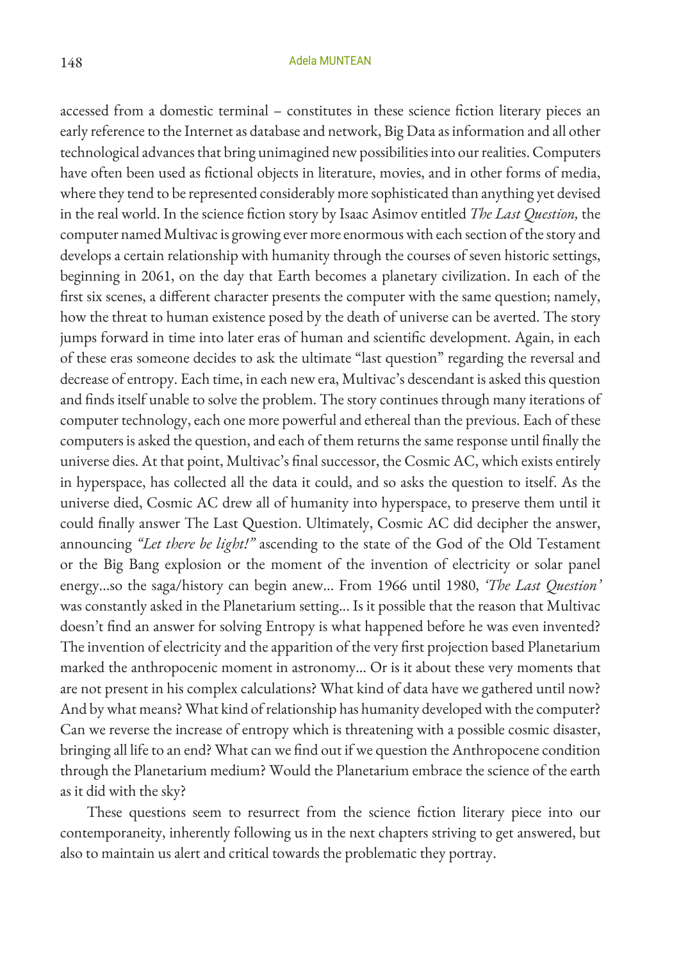accessed from a domestic terminal – constitutes in these science fiction literary pieces an early reference to the Internet as database and network, Big Data as information and all other technological advances that bring unimagined new possibilities into our realities. Computers have often been used as fictional objects in literature, movies, and in other forms of media, where they tend to be represented considerably more sophisticated than anything yet devised in the real world. In the science fiction story by Isaac Asimov entitled *The Last Question,* the computer named Multivac is growing ever more enormous with each section of the story and develops a certain relationship with humanity through the courses of seven historic settings, beginning in 2061, on the day that Earth becomes a planetary civilization. In each of the first six scenes, a different character presents the computer with the same question; namely, how the threat to human existence posed by the death of universe can be averted. The story jumps forward in time into later eras of human and scientific development. Again, in each of these eras someone decides to ask the ultimate "last question" regarding the reversal and decrease of entropy. Each time, in each new era, Multivac's descendant is asked this question and finds itself unable to solve the problem. The story continues through many iterations of computer technology, each one more powerful and ethereal than the previous. Each of these computers is asked the question, and each of them returns the same response until finally the universe dies. At that point, Multivac's final successor, the Cosmic AC, which exists entirely in hyperspace, has collected all the data it could, and so asks the question to itself. As the universe died, Cosmic AC drew all of humanity into hyperspace, to preserve them until it could finally answer The Last Question. Ultimately, Cosmic AC did decipher the answer, announcing *"Let there be light!"* ascending to the state of the God of the Old Testament or the Big Bang explosion or the moment of the invention of electricity or solar panel energy...so the saga/history can begin anew... From 1966 until 1980, *'The Last Question'* was constantly asked in the Planetarium setting... Is it possible that the reason that Multivac doesn't find an answer for solving Entropy is what happened before he was even invented? The invention of electricity and the apparition of the very first projection based Planetarium marked the anthropocenic moment in astronomy... Or is it about these very moments that are not present in his complex calculations? What kind of data have we gathered until now? And by what means? What kind of relationship has humanity developed with the computer? Can we reverse the increase of entropy which is threatening with a possible cosmic disaster, bringing all life to an end? What can we find out if we question the Anthropocene condition through the Planetarium medium? Would the Planetarium embrace the science of the earth as it did with the sky?

 These questions seem to resurrect from the science fiction literary piece into our contemporaneity, inherently following us in the next chapters striving to get answered, but also to maintain us alert and critical towards the problematic they portray.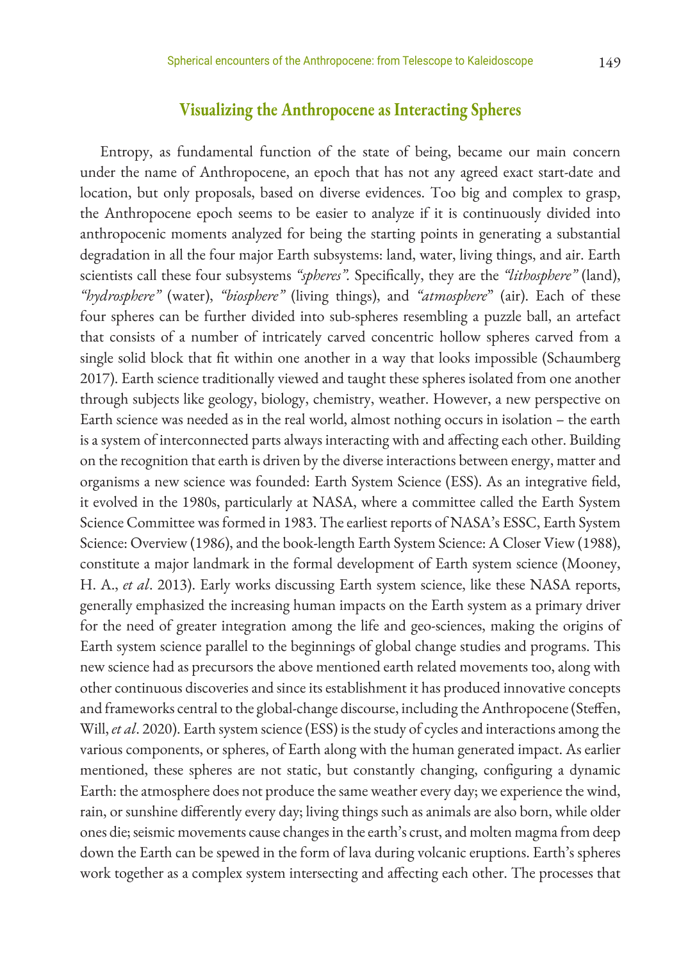## **Visualizing the Anthropocene as Interacting Spheres**

Entropy, as fundamental function of the state of being, became our main concern under the name of Anthropocene, an epoch that has not any agreed exact start-date and location, but only proposals, based on diverse evidences. Too big and complex to grasp, the Anthropocene epoch seems to be easier to analyze if it is continuously divided into anthropocenic moments analyzed for being the starting points in generating a substantial degradation in all the four major Earth subsystems: land, water, living things, and air. Earth scientists call these four subsystems *"spheres".* Specifically, they are the *"lithosphere"* (land), *"hydrosphere"* (water), *"biosphere"* (living things), and *"atmosphere*" (air). Each of these four spheres can be further divided into sub-spheres resembling a puzzle ball, an artefact that consists of a number of intricately carved concentric hollow spheres carved from a single solid block that fit within one another in a way that looks impossible (Schaumberg 2017). Earth science traditionally viewed and taught these spheres isolated from one another through subjects like geology, biology, chemistry, weather. However, a new perspective on Earth science was needed as in the real world, almost nothing occurs in isolation – the earth is a system of interconnected parts always interacting with and affecting each other. Building on the recognition that earth is driven by the diverse interactions between energy, matter and organisms a new science was founded: Earth System Science (ESS). As an integrative field, it evolved in the 1980s, particularly at NASA, where a committee called the Earth System Science Committee was formed in 1983. The earliest reports of NASA's ESSC, Earth System Science: Overview (1986), and the book-length Earth System Science: A Closer View (1988), constitute a major landmark in the formal development of Earth system science (Mooney, H. A., *et al*. 2013). Early works discussing Earth system science, like these NASA reports, generally emphasized the increasing human impacts on the Earth system as a primary driver for the need of greater integration among the life and geo-sciences, making the origins of Earth system science parallel to the beginnings of global change studies and programs. This new science had as precursors the above mentioned earth related movements too, along with other continuous discoveries and since its establishment it has produced innovative concepts and frameworks central to the global-change discourse, including the Anthropocene (Steffen, Will, *et al*. 2020). Earth system science (ESS) is the study of cycles and interactions among the various components, or spheres, of Earth along with the human generated impact. As earlier mentioned, these spheres are not static, but constantly changing, configuring a dynamic Earth: the atmosphere does not produce the same weather every day; we experience the wind, rain, or sunshine differently every day; living things such as animals are also born, while older ones die; seismic movements cause changes in the earth's crust, and molten magma from deep down the Earth can be spewed in the form of lava during volcanic eruptions. Earth's spheres work together as a complex system intersecting and affecting each other. The processes that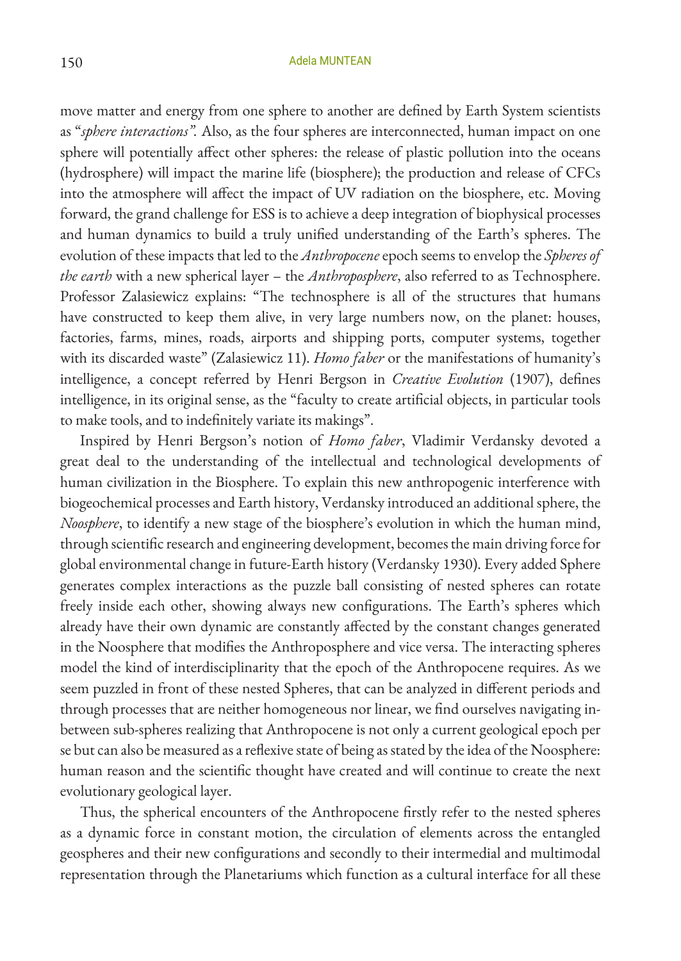move matter and energy from one sphere to another are defined by Earth System scientists as "*sphere interactions".* Also, as the four spheres are interconnected, human impact on one sphere will potentially affect other spheres: the release of plastic pollution into the oceans (hydrosphere) will impact the marine life (biosphere); the production and release of CFCs into the atmosphere will affect the impact of UV radiation on the biosphere, etc. Moving forward, the grand challenge for ESS is to achieve a deep integration of biophysical processes and human dynamics to build a truly unified understanding of the Earth's spheres. The evolution of these impacts that led to the *Anthropocene* epoch seems to envelop the *Spheres of the earth* with a new spherical layer – the *Anthroposphere*, also referred to as Technosphere. Professor Zalasiewicz explains: "The technosphere is all of the structures that humans have constructed to keep them alive, in very large numbers now, on the planet: houses, factories, farms, mines, roads, airports and shipping ports, computer systems, together with its discarded waste" (Zalasiewicz 11). *Homo faber* or the manifestations of humanity's intelligence, a concept referred by Henri Bergson in *Creative Evolution* (1907), defines intelligence, in its original sense, as the "faculty to create artificial objects, in particular tools to make tools, and to indefinitely variate its makings".

Inspired by Henri Bergson's notion of *Homo faber*, Vladimir Verdansky devoted a great deal to the understanding of the intellectual and technological developments of human civilization in the Biosphere. To explain this new anthropogenic interference with biogeochemical processes and Earth history, Verdansky introduced an additional sphere, the *Noosphere*, to identify a new stage of the biosphere's evolution in which the human mind, through scientific research and engineering development, becomes the main driving force for global environmental change in future-Earth history (Verdansky 1930). Every added Sphere generates complex interactions as the puzzle ball consisting of nested spheres can rotate freely inside each other, showing always new configurations. The Earth's spheres which already have their own dynamic are constantly affected by the constant changes generated in the Noosphere that modifies the Anthroposphere and vice versa. The interacting spheres model the kind of interdisciplinarity that the epoch of the Anthropocene requires. As we seem puzzled in front of these nested Spheres, that can be analyzed in different periods and through processes that are neither homogeneous nor linear, we find ourselves navigating inbetween sub-spheres realizing that Anthropocene is not only a current geological epoch per se but can also be measured as a reflexive state of being as stated by the idea of the Noosphere: human reason and the scientific thought have created and will continue to create the next evolutionary geological layer.

Thus, the spherical encounters of the Anthropocene firstly refer to the nested spheres as a dynamic force in constant motion, the circulation of elements across the entangled geospheres and their new configurations and secondly to their intermedial and multimodal representation through the Planetariums which function as a cultural interface for all these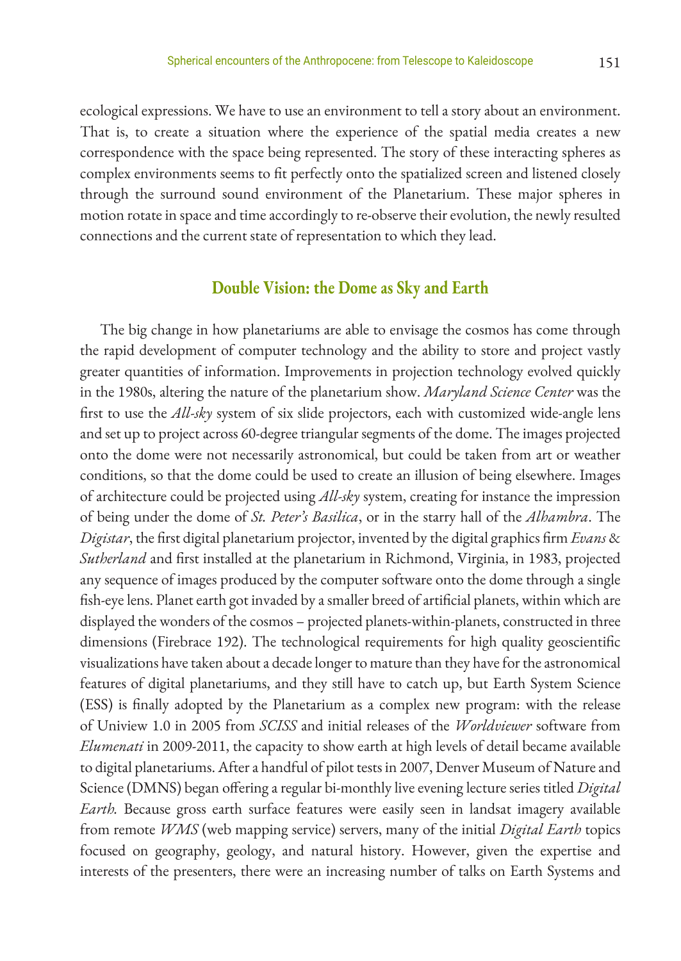ecological expressions. We have to use an environment to tell a story about an environment. That is, to create a situation where the experience of the spatial media creates a new correspondence with the space being represented. The story of these interacting spheres as complex environments seems to fit perfectly onto the spatialized screen and listened closely through the surround sound environment of the Planetarium. These major spheres in motion rotate in space and time accordingly to re-observe their evolution, the newly resulted connections and the current state of representation to which they lead.

### **Double Vision: the Dome as Sky and Earth**

The big change in how planetariums are able to envisage the cosmos has come through the rapid development of computer technology and the ability to store and project vastly greater quantities of information. Improvements in projection technology evolved quickly in the 1980s, altering the nature of the planetarium show. *Maryland Science Center* was the first to use the *All-sky* system of six slide projectors, each with customized wide-angle lens and set up to project across 60-degree triangular segments of the dome. The images projected onto the dome were not necessarily astronomical, but could be taken from art or weather conditions, so that the dome could be used to create an illusion of being elsewhere. Images of architecture could be projected using *All-sky* system, creating for instance the impression of being under the dome of *St. Peter's Basilica*, or in the starry hall of the *Alhambra*. The *Digistar*, the first digital planetarium projector, invented by the digital graphics firm *Evans* & *Sutherland* and first installed at the planetarium in Richmond, Virginia, in 1983, projected any sequence of images produced by the computer software onto the dome through a single fish-eye lens. Planet earth got invaded by a smaller breed of artificial planets, within which are displayed the wonders of the cosmos – projected planets-within-planets, constructed in three dimensions (Firebrace 192). The technological requirements for high quality geoscientific visualizations have taken about a decade longer to mature than they have for the astronomical features of digital planetariums, and they still have to catch up, but Earth System Science (ESS) is finally adopted by the Planetarium as a complex new program: with the release of Uniview 1.0 in 2005 from *SCISS* and initial releases of the *Worldviewer* software from *Elumenati* in 2009-2011, the capacity to show earth at high levels of detail became available to digital planetariums. After a handful of pilot tests in 2007, Denver Museum of Nature and Science (DMNS) began offering a regular bi-monthly live evening lecture series titled *Digital Earth.* Because gross earth surface features were easily seen in landsat imagery available from remote *WMS* (web mapping service) servers, many of the initial *Digital Earth* topics focused on geography, geology, and natural history. However, given the expertise and interests of the presenters, there were an increasing number of talks on Earth Systems and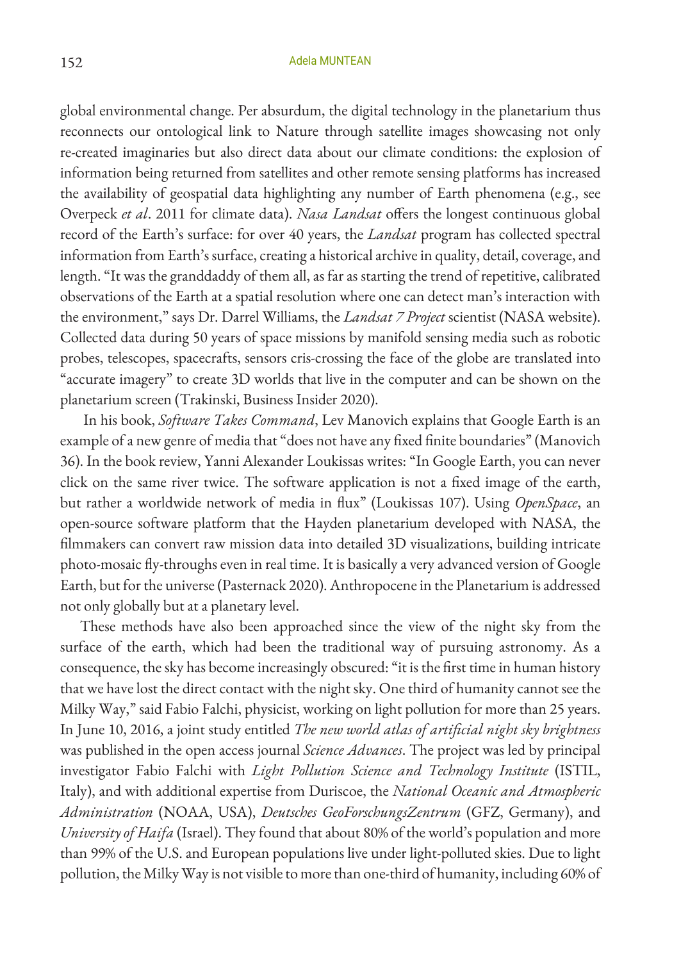global environmental change. Per absurdum, the digital technology in the planetarium thus reconnects our ontological link to Nature through satellite images showcasing not only re-created imaginaries but also direct data about our climate conditions: the explosion of information being returned from satellites and other remote sensing platforms has increased the availability of geospatial data highlighting any number of Earth phenomena (e.g., see Overpeck *et al*. 2011 for climate data). *Nasa Landsat* offers the longest continuous global record of the Earth's surface: for over 40 years, the *Landsat* program has collected spectral information from Earth's surface, creating a historical archive in quality, detail, coverage, and length. "It was the granddaddy of them all, as far as starting the trend of repetitive, calibrated observations of the Earth at a spatial resolution where one can detect man's interaction with the environment," says Dr. Darrel Williams, the *Landsat 7 Project* scientist (NASA website). Collected data during 50 years of space missions by manifold sensing media such as robotic probes, telescopes, spacecrafts, sensors cris-crossing the face of the globe are translated into "accurate imagery" to create 3D worlds that live in the computer and can be shown on the planetarium screen (Trakinski, Business Insider 2020).

 In his book, *Software Takes Command*, Lev Manovich explains that Google Earth is an example of a new genre of media that "does not have any fixed finite boundaries" (Manovich 36). In the book review, Yanni Alexander Loukissas writes: "In Google Earth, you can never click on the same river twice. The software application is not a fixed image of the earth, but rather a worldwide network of media in flux" (Loukissas 107). Using *OpenSpace*, an open-source software platform that the Hayden planetarium developed with NASA, the filmmakers can convert raw mission data into detailed 3D visualizations, building intricate photo-mosaic fly-throughs even in real time. It is basically a very advanced version of Google Earth, but for the universe (Pasternack 2020). Anthropocene in the Planetarium is addressed not only globally but at a planetary level.

These methods have also been approached since the view of the night sky from the surface of the earth, which had been the traditional way of pursuing astronomy. As a consequence, the sky has become increasingly obscured: "it is the first time in human history that we have lost the direct contact with the night sky. One third of humanity cannot see the Milky Way," said Fabio Falchi, physicist, working on light pollution for more than 25 years. In June 10, 2016, a joint study entitled *The new world atlas of artificial night sky brightness* was published in the open access journal *Science Advances*. The project was led by principal investigator Fabio Falchi with *Light Pollution Science and Technology Institute* (ISTIL, Italy), and with additional expertise from Duriscoe, the *National Oceanic and Atmospheric Administration* (NOAA, USA), *Deutsches GeoForschungsZentrum* (GFZ, Germany), and *University of Haifa* (Israel). They found that about 80% of the world's population and more than 99% of the U.S. and European populations live under light-polluted skies. Due to light pollution, the Milky Way is not visible to more than one-third of humanity, including 60% of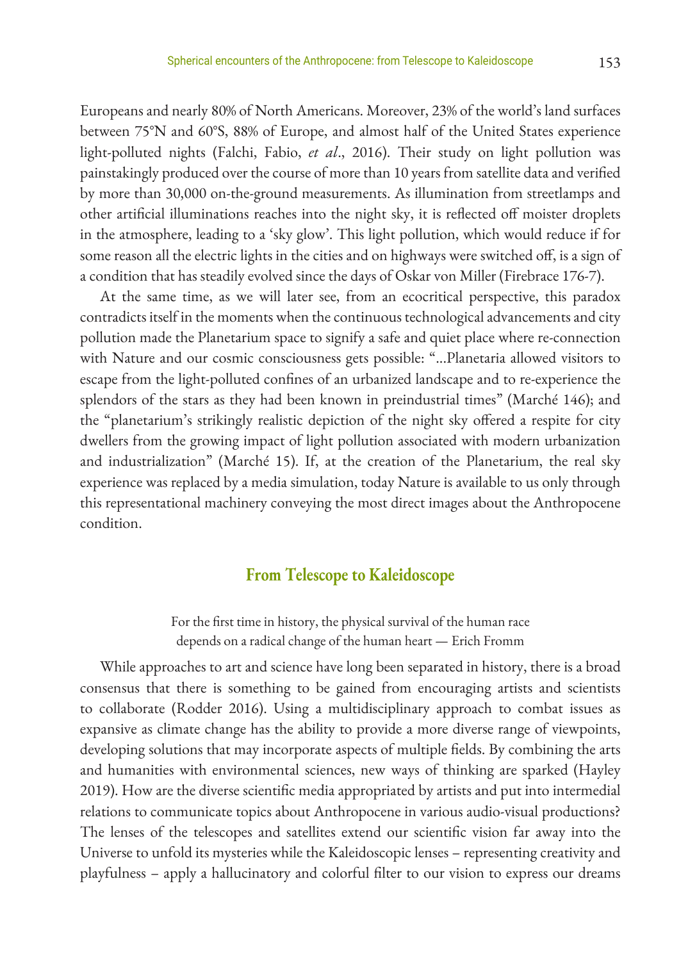Europeans and nearly 80% of North Americans. Moreover, 23% of the world's land surfaces between 75°N and 60°S, 88% of Europe, and almost half of the United States experience light-polluted nights (Falchi, Fabio, *et al*., 2016). Their study on light pollution was painstakingly produced over the course of more than 10 years from satellite data and verified by more than 30,000 on-the-ground measurements. As illumination from streetlamps and other artificial illuminations reaches into the night sky, it is reflected off moister droplets in the atmosphere, leading to a 'sky glow'. This light pollution, which would reduce if for some reason all the electric lights in the cities and on highways were switched off, is a sign of a condition that has steadily evolved since the days of Oskar von Miller (Firebrace 176-7).

At the same time, as we will later see, from an ecocritical perspective, this paradox contradicts itself in the moments when the continuous technological advancements and city pollution made the Planetarium space to signify a safe and quiet place where re-connection with Nature and our cosmic consciousness gets possible: "...Planetaria allowed visitors to escape from the light-polluted confines of an urbanized landscape and to re-experience the splendors of the stars as they had been known in preindustrial times" (Marché 146); and the "planetarium's strikingly realistic depiction of the night sky offered a respite for city dwellers from the growing impact of light pollution associated with modern urbanization and industrialization" (Marché 15). If, at the creation of the Planetarium, the real sky experience was replaced by a media simulation, today Nature is available to us only through this representational machinery conveying the most direct images about the Anthropocene condition.

## **From Telescope to Kaleidoscope**

For the first time in history, the physical survival of the human race depends on a radical change of the human heart — Erich Fromm

While approaches to art and science have long been separated in history, there is a broad consensus that there is something to be gained from encouraging artists and scientists to collaborate (Rodder 2016). Using a multidisciplinary approach to combat issues as expansive as climate change has the ability to provide a more diverse range of viewpoints, developing solutions that may incorporate aspects of multiple fields. By combining the arts and humanities with environmental sciences, new ways of thinking are sparked (Hayley 2019). How are the diverse scientific media appropriated by artists and put into intermedial relations to communicate topics about Anthropocene in various audio-visual productions? The lenses of the telescopes and satellites extend our scientific vision far away into the Universe to unfold its mysteries while the Kaleidoscopic lenses – representing creativity and playfulness – apply a hallucinatory and colorful filter to our vision to express our dreams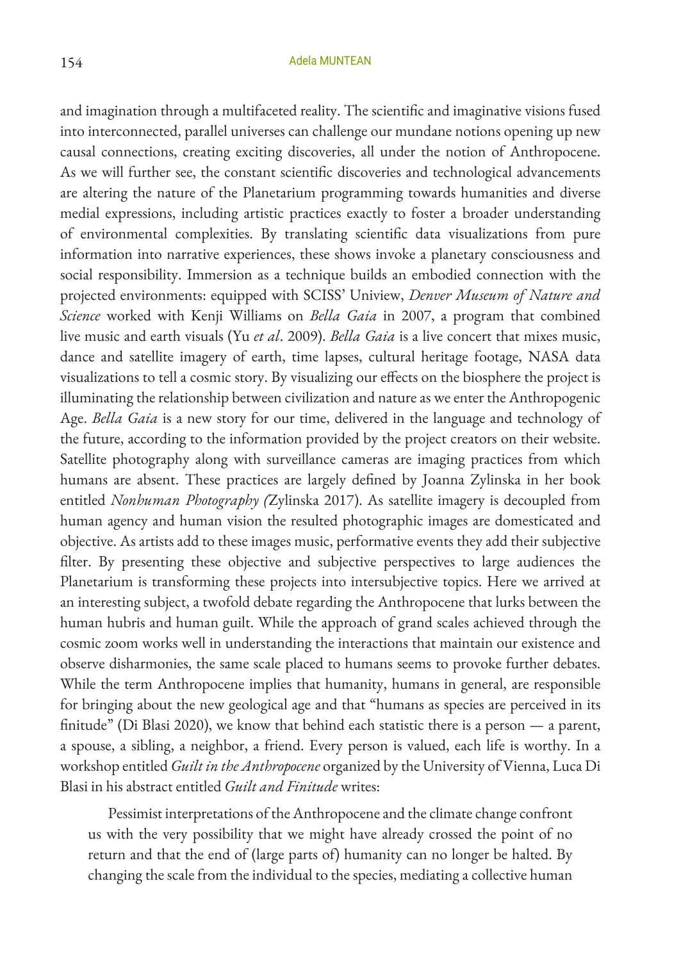and imagination through a multifaceted reality. The scientific and imaginative visions fused into interconnected, parallel universes can challenge our mundane notions opening up new causal connections, creating exciting discoveries, all under the notion of Anthropocene. As we will further see, the constant scientific discoveries and technological advancements are altering the nature of the Planetarium programming towards humanities and diverse medial expressions, including artistic practices exactly to foster a broader understanding of environmental complexities. By translating scientific data visualizations from pure information into narrative experiences, these shows invoke a planetary consciousness and social responsibility. Immersion as a technique builds an embodied connection with the projected environments: equipped with SCISS' Uniview, *Denver Museum of Nature and Science* worked with Kenji Williams on *Bella Gaia* in 2007, a program that combined live music and earth visuals (Yu *et al*. 2009). *Bella Gaia* is a live concert that mixes music, dance and satellite imagery of earth, time lapses, cultural heritage footage, NASA data visualizations to tell a cosmic story. By visualizing our effects on the biosphere the project is illuminating the relationship between civilization and nature as we enter the Anthropogenic Age. *Bella Gaia* is a new story for our time, delivered in the language and technology of the future, according to the information provided by the project creators on their website. Satellite photography along with surveillance cameras are imaging practices from which humans are absent. These practices are largely defined by Joanna Zylinska in her book entitled *Nonhuman Photography (*Zylinska 2017). As satellite imagery is decoupled from human agency and human vision the resulted photographic images are domesticated and objective. As artists add to these images music, performative events they add their subjective filter. By presenting these objective and subjective perspectives to large audiences the Planetarium is transforming these projects into intersubjective topics. Here we arrived at an interesting subject, a twofold debate regarding the Anthropocene that lurks between the human hubris and human guilt. While the approach of grand scales achieved through the cosmic zoom works well in understanding the interactions that maintain our existence and observe disharmonies, the same scale placed to humans seems to provoke further debates. While the term Anthropocene implies that humanity, humans in general, are responsible for bringing about the new geological age and that "humans as species are perceived in its finitude" (Di Blasi 2020), we know that behind each statistic there is a person — a parent, a spouse, a sibling, a neighbor, a friend. Every person is valued, each life is worthy. In a workshop entitled *Guilt in the Anthropocene* organized by the University of Vienna, Luca Di Blasi in his abstract entitled *Guilt and Finitude* writes:

Pessimist interpretations of the Anthropocene and the climate change confront us with the very possibility that we might have already crossed the point of no return and that the end of (large parts of) humanity can no longer be halted. By changing the scale from the individual to the species, mediating a collective human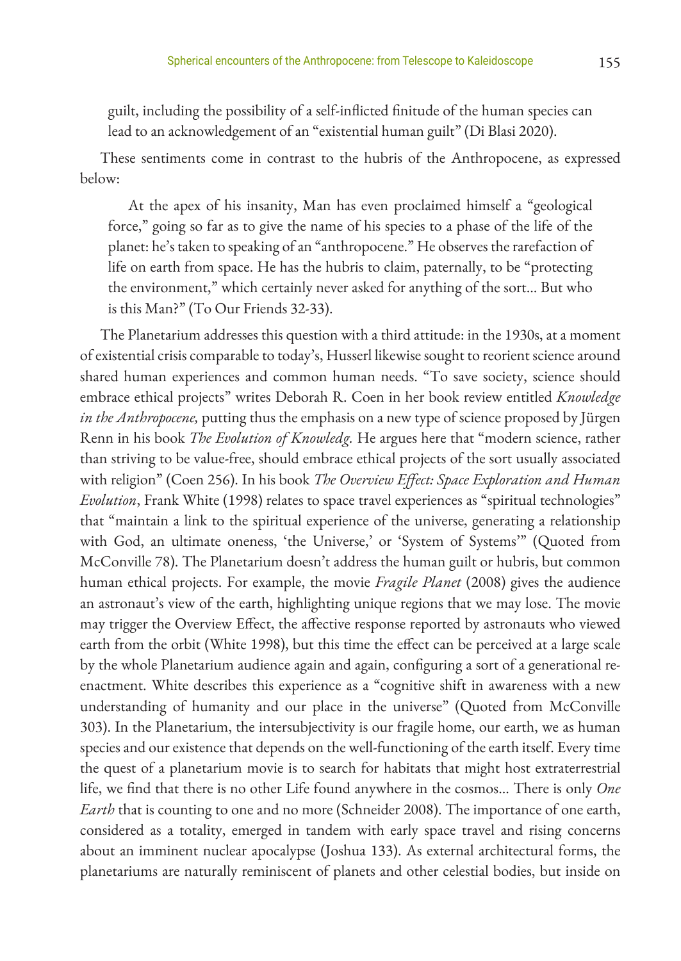guilt, including the possibility of a self-inflicted finitude of the human species can lead to an acknowledgement of an "existential human guilt" (Di Blasi 2020).

These sentiments come in contrast to the hubris of the Anthropocene, as expressed below:

At the apex of his insanity, Man has even proclaimed himself a "geological force," going so far as to give the name of his species to a phase of the life of the planet: he's taken to speaking of an "anthropocene." He observes the rarefaction of life on earth from space. He has the hubris to claim, paternally, to be "protecting the environment," which certainly never asked for anything of the sort... But who is this Man?" (To Our Friends 32-33).

The Planetarium addresses this question with a third attitude: in the 1930s, at a moment of existential crisis comparable to today's, Husserl likewise sought to reorient science around shared human experiences and common human needs. "To save society, science should embrace ethical projects" writes Deborah R. Coen in her book review entitled *Knowledge in the Anthropocene,* putting thus the emphasis on a new type of science proposed by Jürgen Renn in his book *The Evolution of Knowledg.* He argues here that "modern science, rather than striving to be value-free, should embrace ethical projects of the sort usually associated with religion" (Coen 256). In his book *The Overview Effect: Space Exploration and Human Evolution*, Frank White (1998) relates to space travel experiences as "spiritual technologies" that "maintain a link to the spiritual experience of the universe, generating a relationship with God, an ultimate oneness, 'the Universe,' or 'System of Systems'" (Quoted from McConville 78). The Planetarium doesn't address the human guilt or hubris, but common human ethical projects. For example, the movie *Fragile Planet* (2008) gives the audience an astronaut's view of the earth, highlighting unique regions that we may lose. The movie may trigger the Overview Effect, the affective response reported by astronauts who viewed earth from the orbit (White 1998), but this time the effect can be perceived at a large scale by the whole Planetarium audience again and again, configuring a sort of a generational reenactment. White describes this experience as a "cognitive shift in awareness with a new understanding of humanity and our place in the universe" (Quoted from McConville 303). In the Planetarium, the intersubjectivity is our fragile home, our earth, we as human species and our existence that depends on the well-functioning of the earth itself. Every time the quest of a planetarium movie is to search for habitats that might host extraterrestrial life, we find that there is no other Life found anywhere in the cosmos... There is only *One Earth* that is counting to one and no more (Schneider 2008). The importance of one earth, considered as a totality, emerged in tandem with early space travel and rising concerns about an imminent nuclear apocalypse (Joshua 133). As external architectural forms, the planetariums are naturally reminiscent of planets and other celestial bodies, but inside on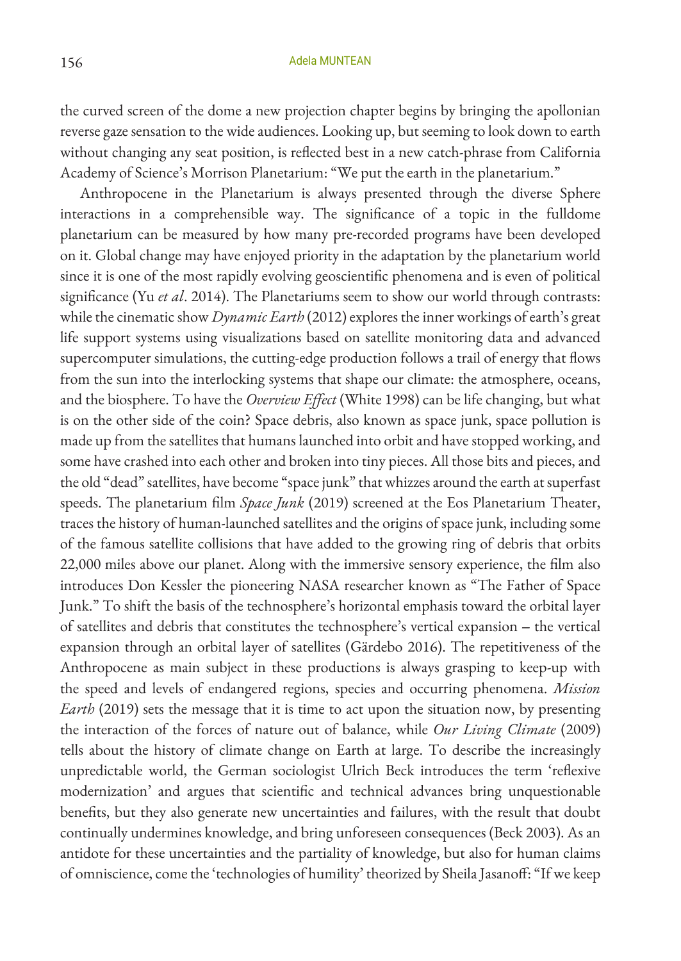the curved screen of the dome a new projection chapter begins by bringing the apollonian reverse gaze sensation to the wide audiences. Looking up, but seeming to look down to earth without changing any seat position, is reflected best in a new catch-phrase from California Academy of Science's Morrison Planetarium: "We put the earth in the planetarium."

Anthropocene in the Planetarium is always presented through the diverse Sphere interactions in a comprehensible way. The significance of a topic in the fulldome planetarium can be measured by how many pre-recorded programs have been developed on it. Global change may have enjoyed priority in the adaptation by the planetarium world since it is one of the most rapidly evolving geoscientific phenomena and is even of political significance (Yu *et al*. 2014). The Planetariums seem to show our world through contrasts: while the cinematic show *Dynamic Earth* (2012) explores the inner workings of earth's great life support systems using visualizations based on satellite monitoring data and advanced supercomputer simulations, the cutting-edge production follows a trail of energy that flows from the sun into the interlocking systems that shape our climate: the atmosphere, oceans, and the biosphere. To have the *Overview Effect* (White 1998) can be life changing, but what is on the other side of the coin? Space debris, also known as space junk, space pollution is made up from the satellites that humans launched into orbit and have stopped working, and some have crashed into each other and broken into tiny pieces. All those bits and pieces, and the old "dead" satellites, have become "space junk" that whizzes around the earth at superfast speeds. The planetarium film *Space Junk* (2019) screened at the Eos Planetarium Theater, traces the history of human-launched satellites and the origins of space junk, including some of the famous satellite collisions that have added to the growing ring of debris that orbits 22,000 miles above our planet. Along with the immersive sensory experience, the film also introduces Don Kessler the pioneering NASA researcher known as "The Father of Space Junk." To shift the basis of the technosphere's horizontal emphasis toward the orbital layer of satellites and debris that constitutes the technosphere's vertical expansion - the vertical expansion through an orbital layer of satellites (Gärdebo 2016). The repetitiveness of the Anthropocene as main subject in these productions is always grasping to keep-up with the speed and levels of endangered regions, species and occurring phenomena. *Mission Earth* (2019) sets the message that it is time to act upon the situation now, by presenting the interaction of the forces of nature out of balance, while *Our Living Climate* (2009) tells about the history of climate change on Earth at large. To describe the increasingly unpredictable world, the German sociologist Ulrich Beck introduces the term 'reflexive modernization' and argues that scientific and technical advances bring unquestionable benefits, but they also generate new uncertainties and failures, with the result that doubt continually undermines knowledge, and bring unforeseen consequences (Beck 2003). As an antidote for these uncertainties and the partiality of knowledge, but also for human claims of omniscience, come the 'technologies of humility' theorized by Sheila Jasanoff: "If we keep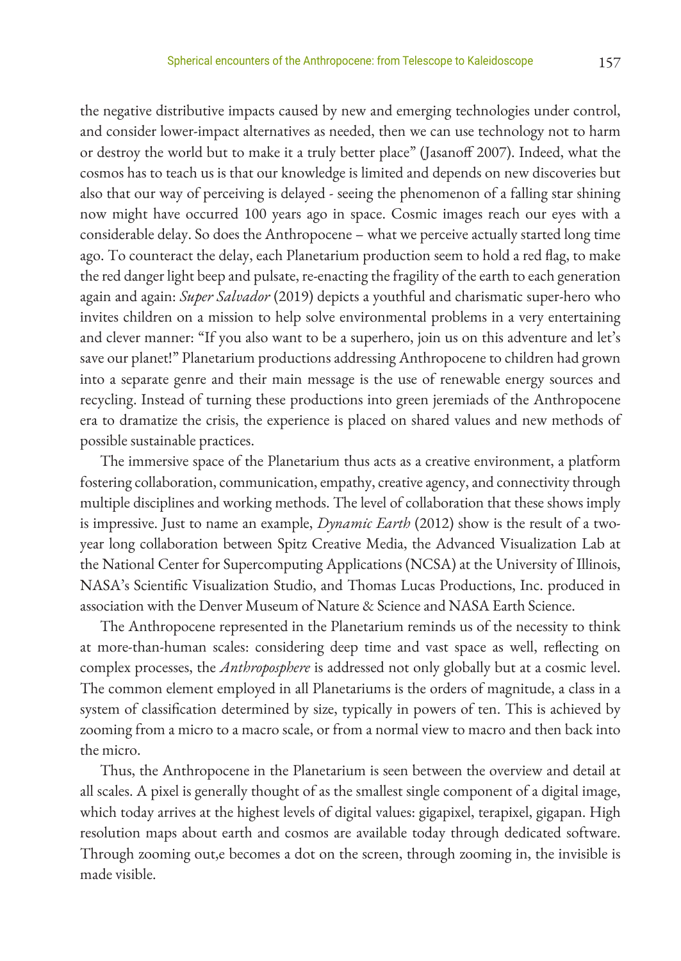the negative distributive impacts caused by new and emerging technologies under control, and consider lower-impact alternatives as needed, then we can use technology not to harm or destroy the world but to make it a truly better place" (Jasanoff 2007). Indeed, what the cosmos has to teach us is that our knowledge is limited and depends on new discoveries but also that our way of perceiving is delayed - seeing the phenomenon of a falling star shining now might have occurred 100 years ago in space. Cosmic images reach our eyes with a considerable delay. So does the Anthropocene – what we perceive actually started long time ago. To counteract the delay, each Planetarium production seem to hold a red flag, to make the red danger light beep and pulsate, re-enacting the fragility of the earth to each generation again and again: *Super Salvador* (2019) depicts a youthful and charismatic super-hero who invites children on a mission to help solve environmental problems in a very entertaining and clever manner: "If you also want to be a superhero, join us on this adventure and let's save our planet!" Planetarium productions addressing Anthropocene to children had grown into a separate genre and their main message is the use of renewable energy sources and recycling. Instead of turning these productions into green jeremiads of the Anthropocene era to dramatize the crisis, the experience is placed on shared values and new methods of possible sustainable practices.

The immersive space of the Planetarium thus acts as a creative environment, a platform fostering collaboration, communication, empathy, creative agency, and connectivity through multiple disciplines and working methods. The level of collaboration that these shows imply is impressive. Just to name an example, *Dynamic Earth* (2012) show is the result of a twoyear long collaboration between Spitz Creative Media, the Advanced Visualization Lab at the National Center for Supercomputing Applications (NCSA) at the University of Illinois, NASA's Scientific Visualization Studio, and Thomas Lucas Productions, Inc. produced in association with the Denver Museum of Nature & Science and NASA Earth Science.

The Anthropocene represented in the Planetarium reminds us of the necessity to think at more-than-human scales: considering deep time and vast space as well, reflecting on complex processes, the *Anthroposphere* is addressed not only globally but at a cosmic level. The common element employed in all Planetariums is the orders of magnitude, a class in a system of classification determined by size, typically in powers of ten. This is achieved by zooming from a micro to a macro scale, or from a normal view to macro and then back into the micro.

Thus, the Anthropocene in the Planetarium is seen between the overview and detail at all scales. A pixel is generally thought of as the smallest single component of a digital image, which today arrives at the highest levels of digital values: gigapixel, terapixel, gigapan. High resolution maps about earth and cosmos are available today through dedicated software. Through zooming out,e becomes a dot on the screen, through zooming in, the invisible is made visible.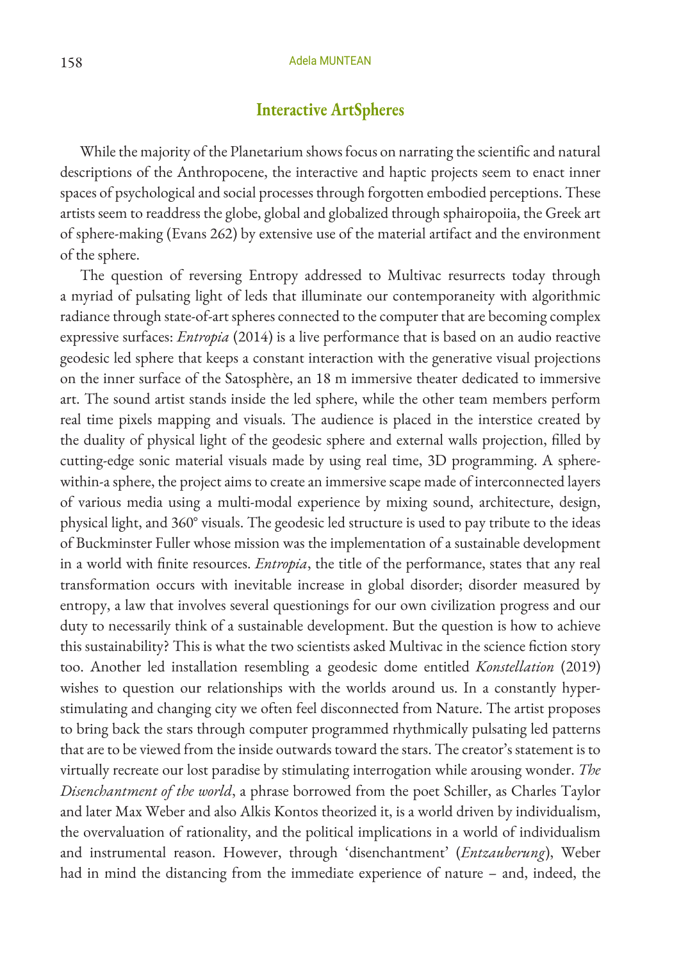## **Interactive ArtSpheres**

While the majority of the Planetarium shows focus on narrating the scientific and natural descriptions of the Anthropocene, the interactive and haptic projects seem to enact inner spaces of psychological and social processes through forgotten embodied perceptions. These artists seem to readdress the globe, global and globalized through sphairopoiia, the Greek art of sphere-making (Evans 262) by extensive use of the material artifact and the environment of the sphere.

The question of reversing Entropy addressed to Multivac resurrects today through a myriad of pulsating light of leds that illuminate our contemporaneity with algorithmic radiance through state-of-art spheres connected to the computer that are becoming complex expressive surfaces: *Entropia* (2014) is a live performance that is based on an audio reactive geodesic led sphere that keeps a constant interaction with the generative visual projections on the inner surface of the Satosphère, an 18 m immersive theater dedicated to immersive art. The sound artist stands inside the led sphere, while the other team members perform real time pixels mapping and visuals. The audience is placed in the interstice created by the duality of physical light of the geodesic sphere and external walls projection, filled by cutting-edge sonic material visuals made by using real time, 3D programming. A spherewithin-a sphere, the project aims to create an immersive scape made of interconnected layers of various media using a multi-modal experience by mixing sound, architecture, design, physical light, and 360° visuals. The geodesic led structure is used to pay tribute to the ideas of Buckminster Fuller whose mission was the implementation of a sustainable development in a world with finite resources. *Entropia*, the title of the performance, states that any real transformation occurs with inevitable increase in global disorder; disorder measured by entropy, a law that involves several questionings for our own civilization progress and our duty to necessarily think of a sustainable development. But the question is how to achieve this sustainability? This is what the two scientists asked Multivac in the science fiction story too. Another led installation resembling a geodesic dome entitled *Konstellation* (2019) wishes to question our relationships with the worlds around us. In a constantly hyperstimulating and changing city we often feel disconnected from Nature. The artist proposes to bring back the stars through computer programmed rhythmically pulsating led patterns that are to be viewed from the inside outwards toward the stars. The creator's statement is to virtually recreate our lost paradise by stimulating interrogation while arousing wonder. *The Disenchantment of the world*, a phrase borrowed from the poet Schiller, as Charles Taylor and later Max Weber and also Alkis Kontos theorized it, is a world driven by individualism, the overvaluation of rationality, and the political implications in a world of individualism and instrumental reason. However, through 'disenchantment' (*Entzauberung*), Weber had in mind the distancing from the immediate experience of nature – and, indeed, the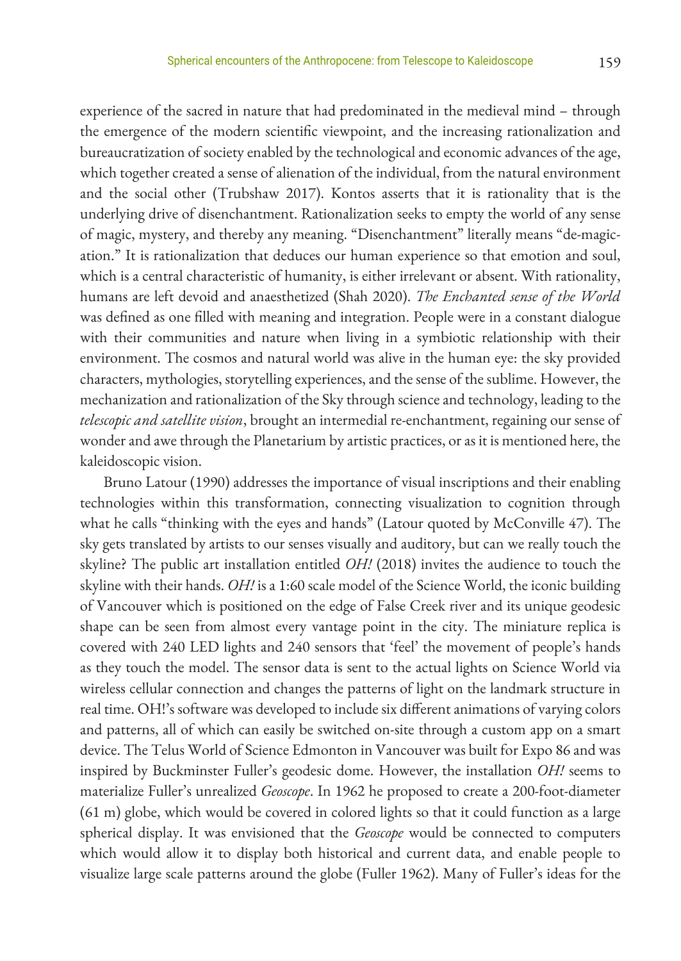experience of the sacred in nature that had predominated in the medieval mind – through the emergence of the modern scientific viewpoint, and the increasing rationalization and bureaucratization of society enabled by the technological and economic advances of the age, which together created a sense of alienation of the individual, from the natural environment and the social other (Trubshaw 2017). Kontos asserts that it is rationality that is the underlying drive of disenchantment. Rationalization seeks to empty the world of any sense of magic, mystery, and thereby any meaning. "Disenchantment" literally means "de-magication." It is rationalization that deduces our human experience so that emotion and soul, which is a central characteristic of humanity, is either irrelevant or absent. With rationality, humans are left devoid and anaesthetized (Shah 2020). *The Enchanted sense of the World* was defined as one filled with meaning and integration. People were in a constant dialogue with their communities and nature when living in a symbiotic relationship with their environment. The cosmos and natural world was alive in the human eye: the sky provided characters, mythologies, storytelling experiences, and the sense of the sublime. However, the mechanization and rationalization of the Sky through science and technology, leading to the *telescopic and satellite vision*, brought an intermedial re-enchantment, regaining our sense of wonder and awe through the Planetarium by artistic practices, or as it is mentioned here, the kaleidoscopic vision.

 Bruno Latour (1990) addresses the importance of visual inscriptions and their enabling technologies within this transformation, connecting visualization to cognition through what he calls "thinking with the eyes and hands" (Latour quoted by McConville 47). The sky gets translated by artists to our senses visually and auditory, but can we really touch the skyline? The public art installation entitled *OH!* (2018) invites the audience to touch the skyline with their hands. *OH!* is a 1:60 scale model of the Science World, the iconic building of Vancouver which is positioned on the edge of False Creek river and its unique geodesic shape can be seen from almost every vantage point in the city. The miniature replica is covered with 240 LED lights and 240 sensors that 'feel' the movement of people's hands as they touch the model. The sensor data is sent to the actual lights on Science World via wireless cellular connection and changes the patterns of light on the landmark structure in real time. OH!'s software was developed to include six different animations of varying colors and patterns, all of which can easily be switched on-site through a custom app on a smart device. The Telus World of Science Edmonton in Vancouver was built for Expo 86 and was inspired by Buckminster Fuller's geodesic dome. However, the installation *OH!* seems to materialize Fuller's unrealized *Geoscope*. In 1962 he proposed to create a 200-foot-diameter (61 m) globe, which would be covered in colored lights so that it could function as a large spherical display. It was envisioned that the *Geoscope* would be connected to computers which would allow it to display both historical and current data, and enable people to visualize large scale patterns around the globe (Fuller 1962). Many of Fuller's ideas for the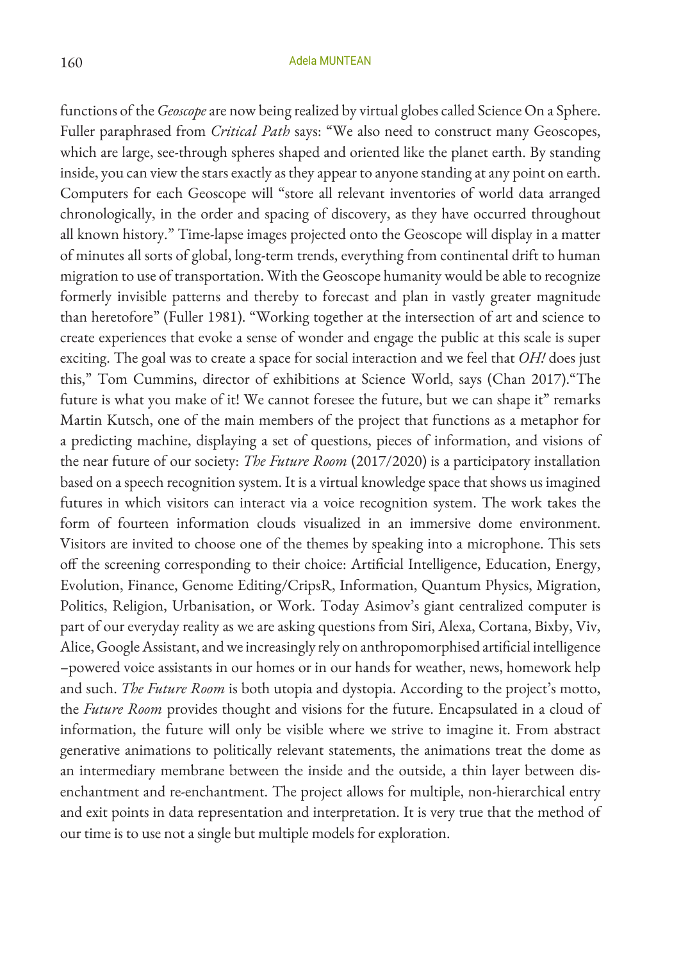functions of the *Geoscope* are now being realized by virtual globes called Science On a Sphere. Fuller paraphrased from *Critical Path* says: "We also need to construct many Geoscopes, which are large, see-through spheres shaped and oriented like the planet earth. By standing inside, you can view the stars exactly as they appear to anyone standing at any point on earth. Computers for each Geoscope will "store all relevant inventories of world data arranged chronologically, in the order and spacing of discovery, as they have occurred throughout all known history." Time-lapse images projected onto the Geoscope will display in a matter of minutes all sorts of global, long-term trends, everything from continental drift to human migration to use of transportation. With the Geoscope humanity would be able to recognize formerly invisible patterns and thereby to forecast and plan in vastly greater magnitude than heretofore" (Fuller 1981). "Working together at the intersection of art and science to create experiences that evoke a sense of wonder and engage the public at this scale is super exciting. The goal was to create a space for social interaction and we feel that *OH!* does just this," Tom Cummins, director of exhibitions at Science World, says (Chan 2017)."The future is what you make of it! We cannot foresee the future, but we can shape it" remarks Martin Kutsch, one of the main members of the project that functions as a metaphor for a predicting machine, displaying a set of questions, pieces of information, and visions of the near future of our society: *The Future Room* (2017/2020) is a participatory installation based on a speech recognition system. It is a virtual knowledge space that shows us imagined futures in which visitors can interact via a voice recognition system. The work takes the form of fourteen information clouds visualized in an immersive dome environment. Visitors are invited to choose one of the themes by speaking into a microphone. This sets off the screening corresponding to their choice: Artificial Intelligence, Education, Energy, Evolution, Finance, Genome Editing/CripsR, Information, Quantum Physics, Migration, Politics, Religion, Urbanisation, or Work. Today Asimov's giant centralized computer is part of our everyday reality as we are asking questions from Siri, Alexa, Cortana, Bixby, Viv, Alice, Google Assistant, and we increasingly rely on anthropomorphised artificial intelligence –powered voice assistants in our homes or in our hands for weather, news, homework help and such. *The Future Room* is both utopia and dystopia. According to the project's motto, the *Future Room* provides thought and visions for the future. Encapsulated in a cloud of information, the future will only be visible where we strive to imagine it. From abstract generative animations to politically relevant statements, the animations treat the dome as an intermediary membrane between the inside and the outside, a thin layer between disenchantment and re-enchantment. The project allows for multiple, non-hierarchical entry and exit points in data representation and interpretation. It is very true that the method of our time is to use not a single but multiple models for exploration.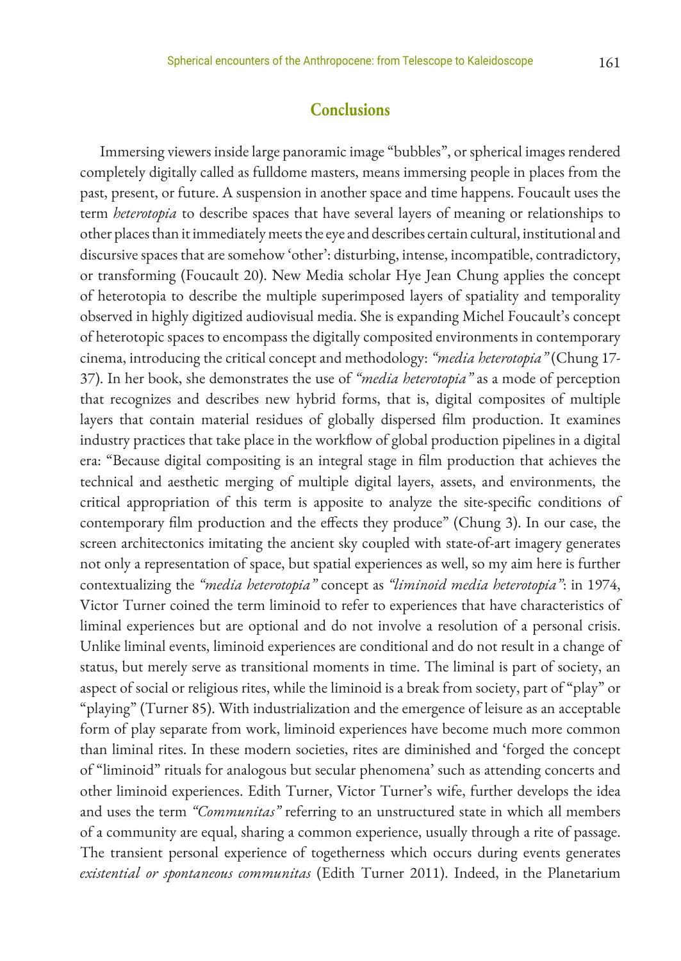### **Conclusions**

Immersing viewers inside large panoramic image "bubbles", or spherical images rendered completely digitally called as fulldome masters, means immersing people in places from the past, present, or future. A suspension in another space and time happens. Foucault uses the term *heterotopia* to describe spaces that have several layers of meaning or relationships to other places than it immediately meets the eye and describes certain cultural, institutional and discursive spaces that are somehow 'other': disturbing, intense, incompatible, contradictory, or transforming (Foucault 20). New Media scholar Hye Jean Chung applies the concept of heterotopia to describe the multiple superimposed layers of spatiality and temporality observed in highly digitized audiovisual media. She is expanding Michel Foucault's concept of heterotopic spaces to encompass the digitally composited environments in contemporary cinema, introducing the critical concept and methodology: *"media heterotopia"* (Chung 17- 37). In her book, she demonstrates the use of *"media heterotopia"* as a mode of perception that recognizes and describes new hybrid forms, that is, digital composites of multiple layers that contain material residues of globally dispersed film production. It examines industry practices that take place in the workflow of global production pipelines in a digital era: "Because digital compositing is an integral stage in film production that achieves the technical and aesthetic merging of multiple digital layers, assets, and environments, the critical appropriation of this term is apposite to analyze the site-specific conditions of contemporary film production and the effects they produce" (Chung 3). In our case, the screen architectonics imitating the ancient sky coupled with state-of-art imagery generates not only a representation of space, but spatial experiences as well, so my aim here is further contextualizing the *"media heterotopia"* concept as *"liminoid media heterotopia"*: in 1974, Victor Turner coined the term liminoid to refer to experiences that have characteristics of liminal experiences but are optional and do not involve a resolution of a personal crisis. Unlike liminal events, liminoid experiences are conditional and do not result in a change of status, but merely serve as transitional moments in time. The liminal is part of society, an aspect of social or religious rites, while the liminoid is a break from society, part of "play" or "playing" (Turner 85). With industrialization and the emergence of leisure as an acceptable form of play separate from work, liminoid experiences have become much more common than liminal rites. In these modern societies, rites are diminished and 'forged the concept of "liminoid" rituals for analogous but secular phenomena' such as attending concerts and other liminoid experiences. Edith Turner, Victor Turner's wife, further develops the idea and uses the term *"Communitas"* referring to an unstructured state in which all members of a community are equal, sharing a common experience, usually through a rite of passage. The transient personal experience of togetherness which occurs during events generates *existential or spontaneous communitas* (Edith Turner 2011). Indeed, in the Planetarium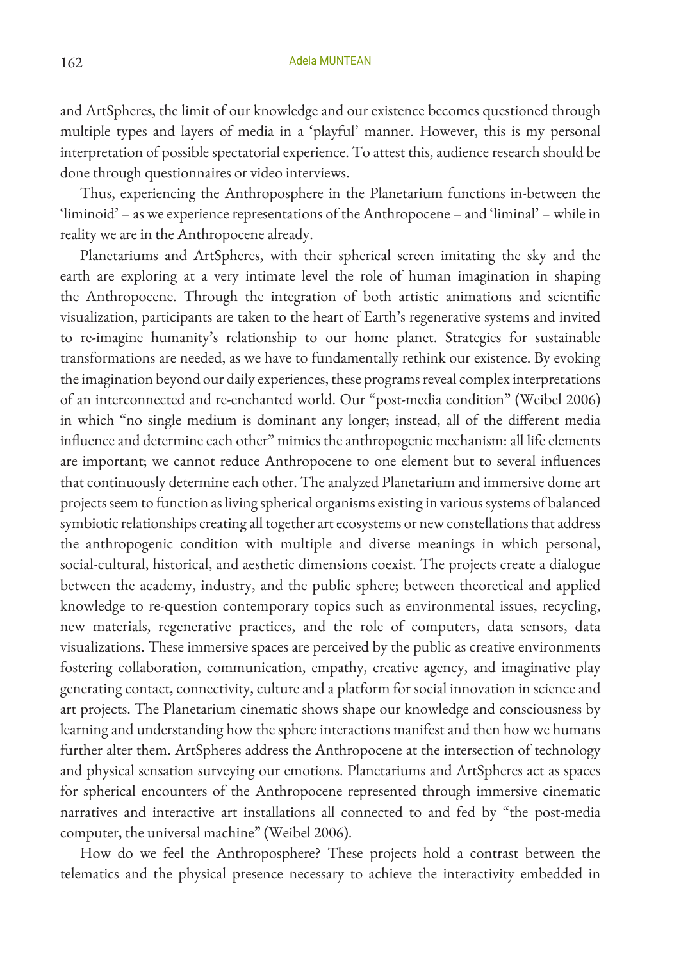and ArtSpheres, the limit of our knowledge and our existence becomes questioned through multiple types and layers of media in a 'playful' manner. However, this is my personal interpretation of possible spectatorial experience. To attest this, audience research should be done through questionnaires or video interviews.

Thus, experiencing the Anthroposphere in the Planetarium functions in-between the 'liminoid' – as we experience representations of the Anthropocene – and 'liminal' – while in reality we are in the Anthropocene already.

Planetariums and ArtSpheres, with their spherical screen imitating the sky and the earth are exploring at a very intimate level the role of human imagination in shaping the Anthropocene. Through the integration of both artistic animations and scientific visualization, participants are taken to the heart of Earth's regenerative systems and invited to re-imagine humanity's relationship to our home planet. Strategies for sustainable transformations are needed, as we have to fundamentally rethink our existence. By evoking the imagination beyond our daily experiences, these programs reveal complex interpretations of an interconnected and re-enchanted world. Our "post-media condition" (Weibel 2006) in which "no single medium is dominant any longer; instead, all of the different media influence and determine each other" mimics the anthropogenic mechanism: all life elements are important; we cannot reduce Anthropocene to one element but to several influences that continuously determine each other. The analyzed Planetarium and immersive dome art projects seem to function as living spherical organisms existing in various systems of balanced symbiotic relationships creating all together art ecosystems or new constellations that address the anthropogenic condition with multiple and diverse meanings in which personal, social-cultural, historical, and aesthetic dimensions coexist. The projects create a dialogue between the academy, industry, and the public sphere; between theoretical and applied knowledge to re-question contemporary topics such as environmental issues, recycling, new materials, regenerative practices, and the role of computers, data sensors, data visualizations. These immersive spaces are perceived by the public as creative environments fostering collaboration, communication, empathy, creative agency, and imaginative play generating contact, connectivity, culture and a platform for social innovation in science and art projects. The Planetarium cinematic shows shape our knowledge and consciousness by learning and understanding how the sphere interactions manifest and then how we humans further alter them. ArtSpheres address the Anthropocene at the intersection of technology and physical sensation surveying our emotions. Planetariums and ArtSpheres act as spaces for spherical encounters of the Anthropocene represented through immersive cinematic narratives and interactive art installations all connected to and fed by "the post-media computer, the universal machine" (Weibel 2006).

How do we feel the Anthroposphere? These projects hold a contrast between the telematics and the physical presence necessary to achieve the interactivity embedded in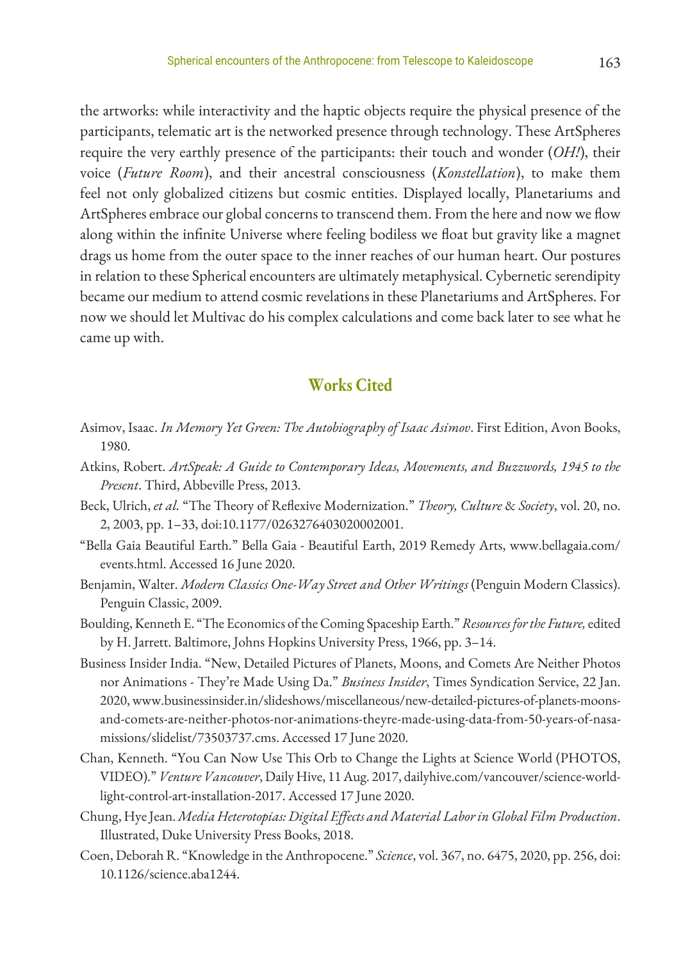the artworks: while interactivity and the haptic objects require the physical presence of the participants, telematic art is the networked presence through technology. These ArtSpheres require the very earthly presence of the participants: their touch and wonder (*OH!*), their voice (*Future Room*), and their ancestral consciousness (*Konstellation*), to make them feel not only globalized citizens but cosmic entities. Displayed locally, Planetariums and ArtSpheres embrace our global concerns to transcend them. From the here and now we flow along within the infinite Universe where feeling bodiless we float but gravity like a magnet drags us home from the outer space to the inner reaches of our human heart. Our postures in relation to these Spherical encounters are ultimately metaphysical. Cybernetic serendipity became our medium to attend cosmic revelations in these Planetariums and ArtSpheres. For now we should let Multivac do his complex calculations and come back later to see what he came up with.

## **Works Cited**

- Asimov, Isaac. *In Memory Yet Green: The Autobiography of Isaac Asimov*. First Edition, Avon Books, 1980.
- Atkins, Robert. *ArtSpeak: A Guide to Contemporary Ideas, Movements, and Buzzwords, 1945 to the Present*. Third, Abbeville Press, 2013.
- Beck, Ulrich, *et al.* "The Theory of Reflexive Modernization." *Theory, Culture* & *Society*, vol. 20, no. 2, 2003, pp. 1–33, doi:10.1177/0263276403020002001.
- "Bella Gaia Beautiful Earth." Bella Gaia Beautiful Earth, 2019 Remedy Arts, www.bellagaia.com/ events.html. Accessed 16 June 2020.
- Benjamin, Walter. *Modern Classics One-Way Street and Other Writings* (Penguin Modern Classics). Penguin Classic, 2009.
- Boulding, Kenneth E. "The Economics of the Coming Spaceship Earth." *Resources for the Future,* edited by H. Jarrett. Baltimore, Johns Hopkins University Press, 1966, pp. 3–14.
- Business Insider India. "New, Detailed Pictures of Planets, Moons, and Comets Are Neither Photos nor Animations - They're Made Using Da." *Business Insider*, Times Syndication Service, 22 Jan. 2020, www.businessinsider.in/slideshows/miscellaneous/new-detailed-pictures-of-planets-moonsand-comets-are-neither-photos-nor-animations-theyre-made-using-data-from-50-years-of-nasamissions/slidelist/73503737.cms. Accessed 17 June 2020.
- Chan, Kenneth. "You Can Now Use This Orb to Change the Lights at Science World (PHOTOS, VIDEO)." *Venture Vancouver*, Daily Hive, 11 Aug. 2017, dailyhive.com/vancouver/science-worldlight-control-art-installation-2017. Accessed 17 June 2020.
- Chung, Hye Jean. *Media Heterotopias: Digital Effects and Material Labor in Global Film Production*. Illustrated, Duke University Press Books, 2018.
- Coen, Deborah R. "Knowledge in the Anthropocene." *Science*, vol. 367, no. 6475, 2020, pp. 256, doi: 10.1126/science.aba1244.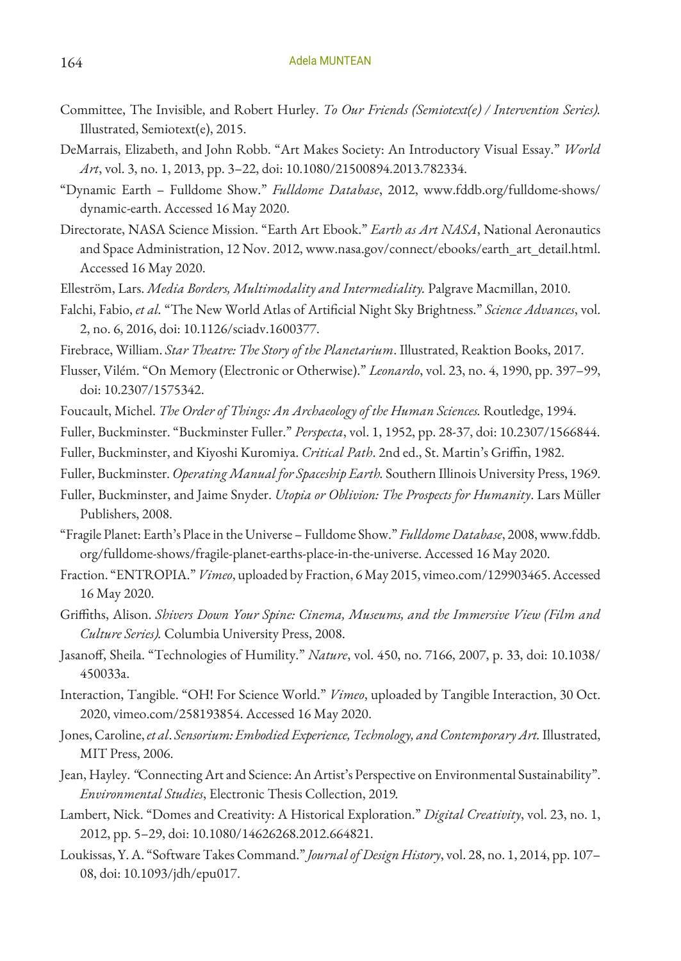- Committee, The Invisible, and Robert Hurley. *To Our Friends (Semiotext(e) / Intervention Series).* Illustrated, Semiotext(e), 2015.
- DeMarrais, Elizabeth, and John Robb. "Art Makes Society: An Introductory Visual Essay." *World Art*, vol. 3, no. 1, 2013, pp. 3–22, doi: 10.1080/21500894.2013.782334.
- "Dynamic Earth Fulldome Show." *Fulldome Database*, 2012, www.fddb.org/fulldome-shows/ dynamic-earth. Accessed 16 May 2020.
- Directorate, NASA Science Mission. "Earth Art Ebook." *Earth as Art NASA*, National Aeronautics and Space Administration, 12 Nov. 2012, www.nasa.gov/connect/ebooks/earth\_art\_detail.html. Accessed 16 May 2020.
- Elleström, Lars. *Media Borders, Multimodality and Intermediality.* Palgrave Macmillan, 2010.
- Falchi, Fabio, *et al.* "The New World Atlas of Artificial Night Sky Brightness." *Science Advances*, vol. 2, no. 6, 2016, doi: 10.1126/sciadv.1600377.
- Firebrace, William. *Star Theatre: The Story of the Planetarium*. Illustrated, Reaktion Books, 2017.
- Flusser, Vilém. "On Memory (Electronic or Otherwise)." *Leonardo*, vol. 23, no. 4, 1990, pp. 397–99, doi: 10.2307/1575342.
- Foucault, Michel. *The Order of Things: An Archaeology of the Human Sciences.* Routledge, 1994.
- Fuller, Buckminster. "Buckminster Fuller." *Perspecta*, vol. 1, 1952, pp. 28-37, doi: 10.2307/1566844.
- Fuller, Buckminster, and Kiyoshi Kuromiya. *Critical Path*. 2nd ed., St. Martin's Griffin, 1982.
- Fuller, Buckminster. *Operating Manual for Spaceship Earth.* Southern Illinois University Press, 1969.
- Fuller, Buckminster, and Jaime Snyder. *Utopia or Oblivion: The Prospects for Humanity*. Lars Müller Publishers, 2008.
- "Fragile Planet: Earth's Place in the Universe Fulldome Show." *Fulldome Database*, 2008, www.fddb. org/fulldome-shows/fragile-planet-earths-place-in-the-universe. Accessed 16 May 2020.
- Fraction. "ENTROPIA." *Vimeo*, uploaded by Fraction, 6 May 2015, vimeo.com/129903465. Accessed 16 May 2020.
- Griffiths, Alison. *Shivers Down Your Spine: Cinema, Museums, and the Immersive View (Film and Culture Series).* Columbia University Press, 2008.
- Jasanoff, Sheila. "Technologies of Humility." *Nature*, vol. 450, no. 7166, 2007, p. 33, doi: 10.1038/ 450033a.
- Interaction, Tangible. "OH! For Science World." *Vimeo*, uploaded by Tangible Interaction, 30 Oct. 2020, vimeo.com/258193854. Accessed 16 May 2020.
- Jones, Caroline, *et al*. *Sensorium: Embodied Experience, Technology, and Contemporary Art.* Illustrated, MIT Press, 2006.
- Jean, Hayley. *"*Connecting Art and Science: An Artist's Perspective on Environmental Sustainability". *Environmental Studies*, Electronic Thesis Collection, 2019*.*
- Lambert, Nick. "Domes and Creativity: A Historical Exploration." *Digital Creativity*, vol. 23, no. 1, 2012, pp. 5–29, doi: 10.1080/14626268.2012.664821.
- Loukissas, Y. A. "Software Takes Command." *Journal of Design History*, vol. 28, no. 1, 2014, pp. 107– 08, doi: 10.1093/jdh/epu017.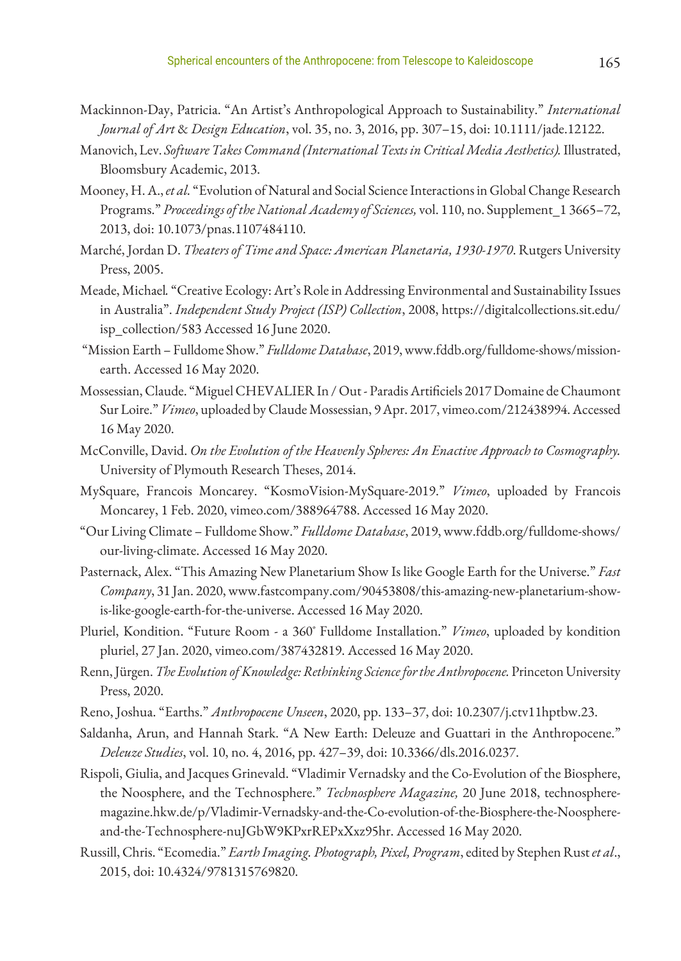- Mackinnon-Day, Patricia. "An Artist's Anthropological Approach to Sustainability." *International Journal of Art* & *Design Education*, vol. 35, no. 3, 2016, pp. 307–15, doi: 10.1111/jade.12122.
- Manovich, Lev. *Software Takes Command (International Texts in Critical Media Aesthetics).* Illustrated, Bloomsbury Academic, 2013.
- Mooney, H. A., *et al.* "Evolution of Natural and Social Science Interactions in Global Change Research Programs." *Proceedings of the National Academy of Sciences,* vol. 110, no. Supplement\_1 3665–72, 2013, doi: 10.1073/pnas.1107484110.
- Marché, Jordan D. *Theaters of Time and Space: American Planetaria, 1930-1970*. Rutgers University Press, 2005.
- Meade, Michael*.* "Creative Ecology: Art's Role in Addressing Environmental and Sustainability Issues in Australia". *Independent Study Project (ISP) Collection*, 2008, https://digitalcollections.sit.edu/ isp\_collection/583 Accessed 16 June 2020.
- "Mission Earth Fulldome Show." *Fulldome Database*, 2019, www.fddb.org/fulldome-shows/missionearth. Accessed 16 May 2020.
- Mossessian, Claude. "Miguel CHEVALIER In / Out Paradis Artificiels 2017 Domaine de Chaumont Sur Loire." *Vimeo*, uploaded by Claude Mossessian, 9 Apr. 2017, vimeo.com/212438994. Accessed 16 May 2020.
- McConville, David. *On the Evolution of the Heavenly Spheres: An Enactive Approach to Cosmography.*  University of Plymouth Research Theses, 2014.
- MySquare, Francois Moncarey. "KosmoVision-MySquare-2019." *Vimeo*, uploaded by Francois Moncarey, 1 Feb. 2020, vimeo.com/388964788. Accessed 16 May 2020.
- "Our Living Climate Fulldome Show." *Fulldome Database*, 2019, www.fddb.org/fulldome-shows/ our-living-climate. Accessed 16 May 2020.
- Pasternack, Alex. "This Amazing New Planetarium Show Is like Google Earth for the Universe." *Fast Company*, 31 Jan. 2020, www.fastcompany.com/90453808/this-amazing-new-planetarium-showis-like-google-earth-for-the-universe. Accessed 16 May 2020.
- Pluriel, Kondition. "Future Room a 360˚ Fulldome Installation." *Vimeo*, uploaded by kondition pluriel, 27 Jan. 2020, vimeo.com/387432819. Accessed 16 May 2020.
- Renn, Jürgen. *The Evolution of Knowledge: Rethinking Science for the Anthropocene.* Princeton University Press, 2020.
- Reno, Joshua. "Earths." *Anthropocene Unseen*, 2020, pp. 133–37, doi: 10.2307/j.ctv11hptbw.23.
- Saldanha, Arun, and Hannah Stark. "A New Earth: Deleuze and Guattari in the Anthropocene." *Deleuze Studies*, vol. 10, no. 4, 2016, pp. 427–39, doi: 10.3366/dls.2016.0237.
- Rispoli, Giulia, and Jacques Grinevald. "Vladimir Vernadsky and the Co-Evolution of the Biosphere, the Noosphere, and the Technosphere." *Technosphere Magazine,* 20 June 2018, technospheremagazine.hkw.de/p/Vladimir-Vernadsky-and-the-Co-evolution-of-the-Biosphere-the-Noosphereand-the-Technosphere-nuJGbW9KPxrREPxXxz95hr. Accessed 16 May 2020.
- Russill, Chris. "Ecomedia." *Earth Imaging. Photograph, Pixel, Program*, edited by Stephen Rust *et al*., 2015, doi: 10.4324/9781315769820.